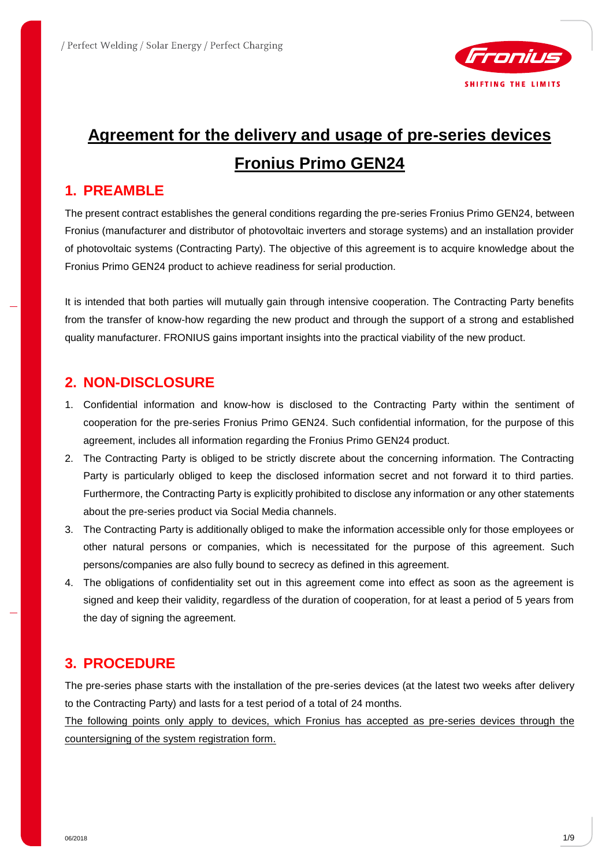

# **Agreement for the delivery and usage of pre-series devices Fronius Primo GEN24**

### **1. PREAMBLE**

The present contract establishes the general conditions regarding the pre-series Fronius Primo GEN24, between Fronius (manufacturer and distributor of photovoltaic inverters and storage systems) and an installation provider of photovoltaic systems (Contracting Party). The objective of this agreement is to acquire knowledge about the Fronius Primo GEN24 product to achieve readiness for serial production.

It is intended that both parties will mutually gain through intensive cooperation. The Contracting Party benefits from the transfer of know-how regarding the new product and through the support of a strong and established quality manufacturer. FRONIUS gains important insights into the practical viability of the new product.

### **2. NON-DISCLOSURE**

- 1. Confidential information and know-how is disclosed to the Contracting Party within the sentiment of cooperation for the pre-series Fronius Primo GEN24. Such confidential information, for the purpose of this agreement, includes all information regarding the Fronius Primo GEN24 product.
- 2. The Contracting Party is obliged to be strictly discrete about the concerning information. The Contracting Party is particularly obliged to keep the disclosed information secret and not forward it to third parties. Furthermore, the Contracting Party is explicitly prohibited to disclose any information or any other statements about the pre-series product via Social Media channels.
- 3. The Contracting Party is additionally obliged to make the information accessible only for those employees or other natural persons or companies, which is necessitated for the purpose of this agreement. Such persons/companies are also fully bound to secrecy as defined in this agreement.
- 4. The obligations of confidentiality set out in this agreement come into effect as soon as the agreement is signed and keep their validity, regardless of the duration of cooperation, for at least a period of 5 years from the day of signing the agreement.

### **3. PROCEDURE**

The pre-series phase starts with the installation of the pre-series devices (at the latest two weeks after delivery to the Contracting Party) and lasts for a test period of a total of 24 months.

The following points only apply to devices, which Fronius has accepted as pre-series devices through the countersigning of the system registration form.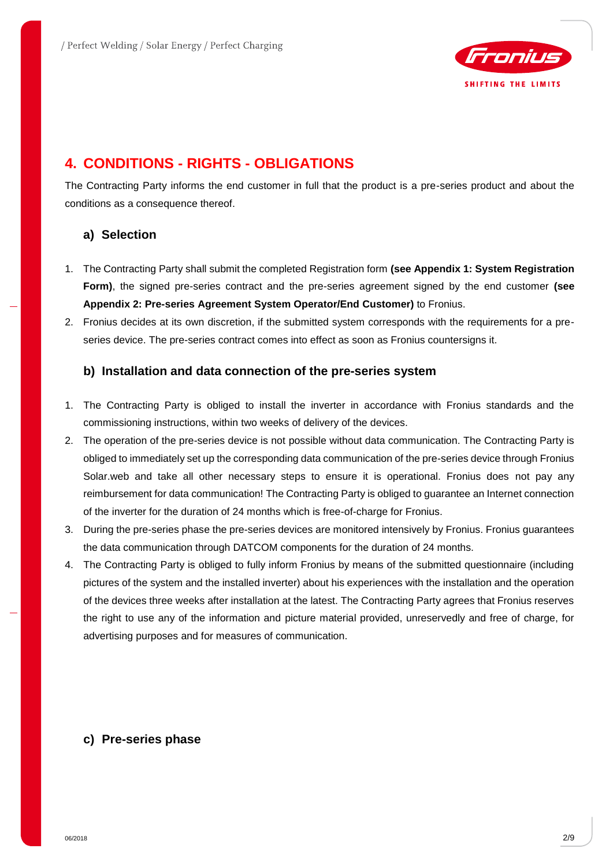

### **4. CONDITIONS - RIGHTS - OBLIGATIONS**

The Contracting Party informs the end customer in full that the product is a pre-series product and about the conditions as a consequence thereof.

#### **a) Selection**

- 1. The Contracting Party shall submit the completed Registration form **(see Appendix 1: System Registration Form)**, the signed pre-series contract and the pre-series agreement signed by the end customer **(see Appendix 2: Pre-series Agreement System Operator/End Customer)** to Fronius.
- 2. Fronius decides at its own discretion, if the submitted system corresponds with the requirements for a preseries device. The pre-series contract comes into effect as soon as Fronius countersigns it.

#### **b) Installation and data connection of the pre-series system**

- 1. The Contracting Party is obliged to install the inverter in accordance with Fronius standards and the commissioning instructions, within two weeks of delivery of the devices.
- 2. The operation of the pre-series device is not possible without data communication. The Contracting Party is obliged to immediately set up the corresponding data communication of the pre-series device through Fronius Solar.web and take all other necessary steps to ensure it is operational. Fronius does not pay any reimbursement for data communication! The Contracting Party is obliged to guarantee an Internet connection of the inverter for the duration of 24 months which is free-of-charge for Fronius.
- 3. During the pre-series phase the pre-series devices are monitored intensively by Fronius. Fronius guarantees the data communication through DATCOM components for the duration of 24 months.
- 4. The Contracting Party is obliged to fully inform Fronius by means of the submitted questionnaire (including pictures of the system and the installed inverter) about his experiences with the installation and the operation of the devices three weeks after installation at the latest. The Contracting Party agrees that Fronius reserves the right to use any of the information and picture material provided, unreservedly and free of charge, for advertising purposes and for measures of communication.

#### **c) Pre-series phase**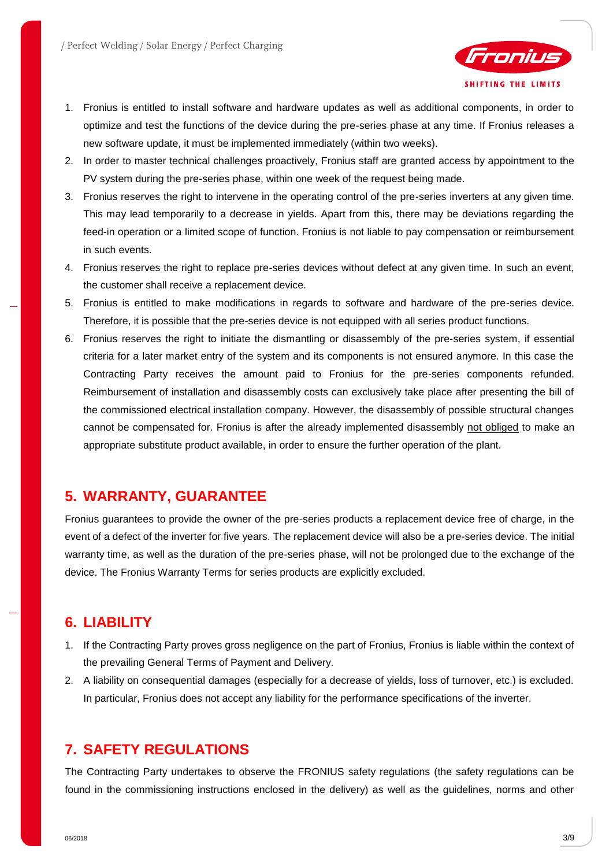

- 1. Fronius is entitled to install software and hardware updates as well as additional components, in order to optimize and test the functions of the device during the pre-series phase at any time. If Fronius releases a new software update, it must be implemented immediately (within two weeks).
- 2. In order to master technical challenges proactively, Fronius staff are granted access by appointment to the PV system during the pre-series phase, within one week of the request being made.
- 3. Fronius reserves the right to intervene in the operating control of the pre-series inverters at any given time. This may lead temporarily to a decrease in yields. Apart from this, there may be deviations regarding the feed-in operation or a limited scope of function. Fronius is not liable to pay compensation or reimbursement in such events.
- 4. Fronius reserves the right to replace pre-series devices without defect at any given time. In such an event, the customer shall receive a replacement device.
- 5. Fronius is entitled to make modifications in regards to software and hardware of the pre-series device. Therefore, it is possible that the pre-series device is not equipped with all series product functions.
- 6. Fronius reserves the right to initiate the dismantling or disassembly of the pre-series system, if essential criteria for a later market entry of the system and its components is not ensured anymore. In this case the Contracting Party receives the amount paid to Fronius for the pre-series components refunded. Reimbursement of installation and disassembly costs can exclusively take place after presenting the bill of the commissioned electrical installation company. However, the disassembly of possible structural changes cannot be compensated for. Fronius is after the already implemented disassembly not obliged to make an appropriate substitute product available, in order to ensure the further operation of the plant.

### **5. WARRANTY, GUARANTEE**

Fronius guarantees to provide the owner of the pre-series products a replacement device free of charge, in the event of a defect of the inverter for five years. The replacement device will also be a pre-series device. The initial warranty time, as well as the duration of the pre-series phase, will not be prolonged due to the exchange of the device. The Fronius Warranty Terms for series products are explicitly excluded.

### **6. LIABILITY**

- 1. If the Contracting Party proves gross negligence on the part of Fronius, Fronius is liable within the context of the prevailing General Terms of Payment and Delivery.
- 2. A liability on consequential damages (especially for a decrease of yields, loss of turnover, etc.) is excluded. In particular, Fronius does not accept any liability for the performance specifications of the inverter.

### **7. SAFETY REGULATIONS**

The Contracting Party undertakes to observe the FRONIUS safety regulations (the safety regulations can be found in the commissioning instructions enclosed in the delivery) as well as the guidelines, norms and other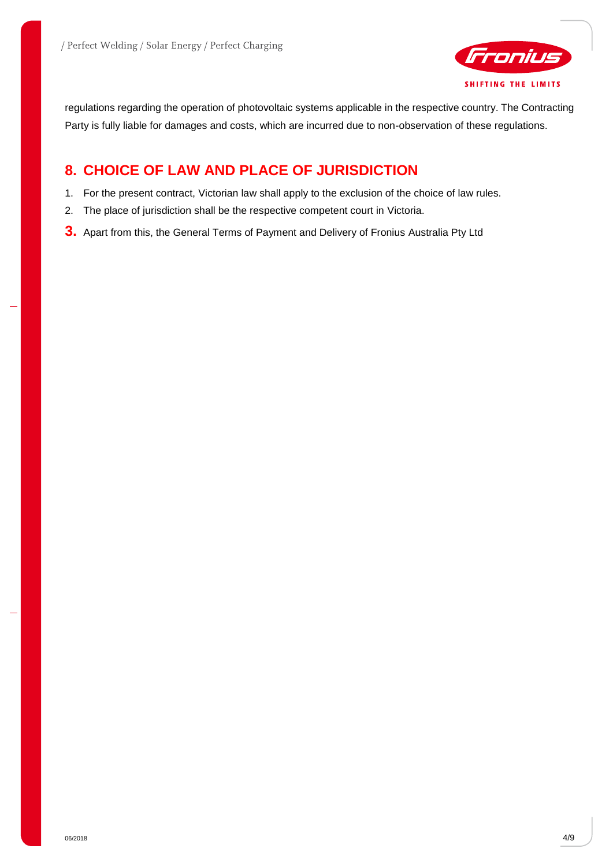

regulations regarding the operation of photovoltaic systems applicable in the respective country. The Contracting Party is fully liable for damages and costs, which are incurred due to non-observation of these regulations.

### **8. CHOICE OF LAW AND PLACE OF JURISDICTION**

- 1. For the present contract, Victorian law shall apply to the exclusion of the choice of law rules.
- 2. The place of jurisdiction shall be the respective competent court in Victoria.
- **3.** Apart from this, the General Terms of Payment and Delivery of Fronius Australia Pty Ltd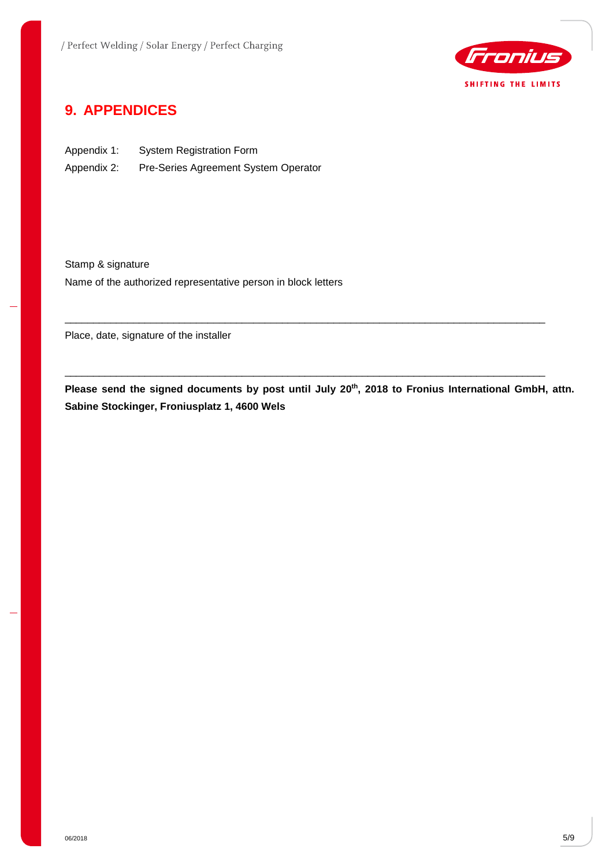

### **9. APPENDICES**

Appendix 1: System Registration Form Appendix 2: Pre-Series Agreement System Operator

Stamp & signature Name of the authorized representative person in block letters

Place, date, signature of the installer

**Please send the signed documents by post until July 20th, 2018 to Fronius International GmbH, attn. Sabine Stockinger, Froniusplatz 1, 4600 Wels**

\_\_\_\_\_\_\_\_\_\_\_\_\_\_\_\_\_\_\_\_\_\_\_\_\_\_\_\_\_\_\_\_\_\_\_\_\_\_\_\_\_\_\_\_\_\_\_\_\_\_\_\_\_\_\_\_\_\_\_\_\_\_\_\_\_\_\_\_\_\_\_\_\_\_\_\_\_\_\_\_\_\_\_\_

\_\_\_\_\_\_\_\_\_\_\_\_\_\_\_\_\_\_\_\_\_\_\_\_\_\_\_\_\_\_\_\_\_\_\_\_\_\_\_\_\_\_\_\_\_\_\_\_\_\_\_\_\_\_\_\_\_\_\_\_\_\_\_\_\_\_\_\_\_\_\_\_\_\_\_\_\_\_\_\_\_\_\_\_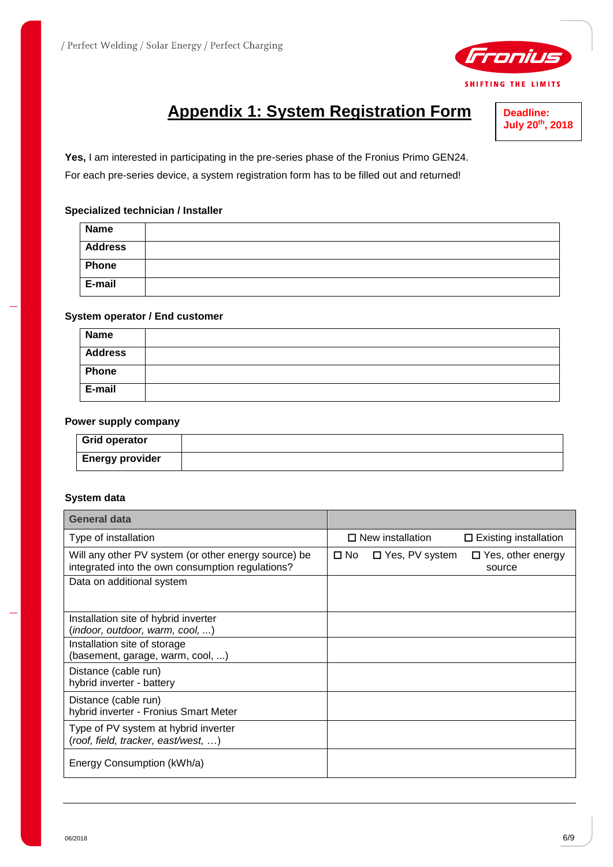

# **Appendix 1: System Registration Form**

**Deadline: July 20th, 2018**

**Yes,** I am interested in participating in the pre-series phase of the Fronius Primo GEN24. For each pre-series device, a system registration form has to be filled out and returned!

#### **Specialized technician / Installer**

| <b>Name</b>    |  |
|----------------|--|
| <b>Address</b> |  |
| Phone          |  |
| E-mail         |  |

#### **System operator / End customer**

| <b>Name</b>    |  |
|----------------|--|
| <b>Address</b> |  |
| Phone          |  |
| E-mail         |  |

#### **Power supply company**

| <b>Grid operator</b>   |  |
|------------------------|--|
| <b>Energy provider</b> |  |

#### **System data**

| General data                                                                                             |                                                                     |
|----------------------------------------------------------------------------------------------------------|---------------------------------------------------------------------|
| Type of installation                                                                                     | $\Box$ New installation<br>$\Box$ Existing installation             |
| Will any other PV system (or other energy source) be<br>integrated into the own consumption regulations? | $\Box$ Yes, PV system<br>$\Box$ Yes, other energy<br>□ No<br>source |
| Data on additional system                                                                                |                                                                     |
| Installation site of hybrid inverter<br>(indoor, outdoor, warm, cool, )                                  |                                                                     |
| Installation site of storage<br>(basement, garage, warm, cool, )                                         |                                                                     |
| Distance (cable run)<br>hybrid inverter - battery                                                        |                                                                     |
| Distance (cable run)<br>hybrid inverter - Fronius Smart Meter                                            |                                                                     |
| Type of PV system at hybrid inverter<br>(roof, field, tracker, east/west, )                              |                                                                     |
| Energy Consumption (kWh/a)                                                                               |                                                                     |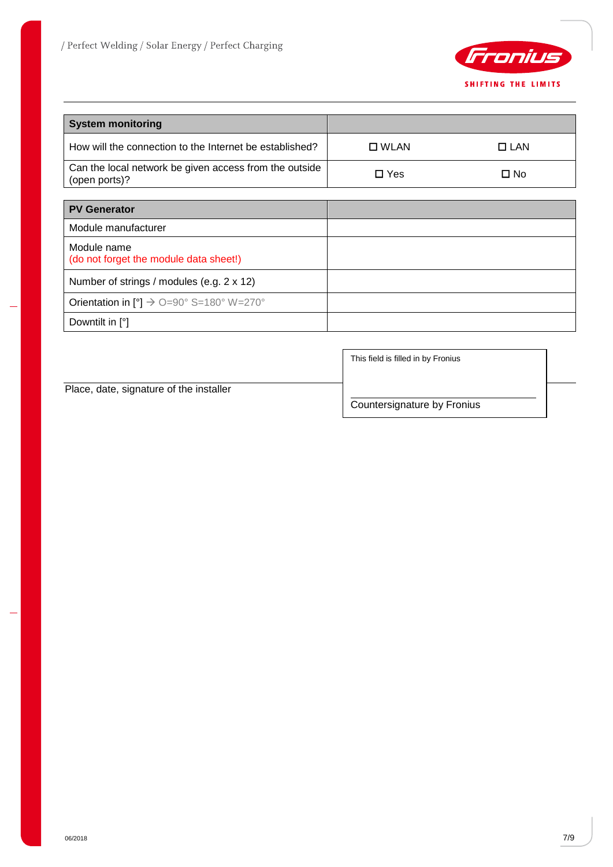

| <b>System monitoring</b>                                                |                |            |
|-------------------------------------------------------------------------|----------------|------------|
| How will the connection to the Internet be established?                 | $\square$ WLAN | $\Box$ LAN |
| Can the local network be given access from the outside<br>(open ports)? | $\Box$ Yes     | □ No       |
|                                                                         |                |            |
| <b>PV Generator</b>                                                     |                |            |
| Module manufacturer                                                     |                |            |
| Module name<br>(do not forget the module data sheet!)                   |                |            |
| Number of strings / modules (e.g. 2 x 12)                               |                |            |
| Orientation in $[°]$ $\rightarrow$ 0=90° S=180° W=270°                  |                |            |
| Downtilt in $[°]$                                                       |                |            |

Place, date, signature of the installer

This field is filled in by Fronius

Countersignature by Fronius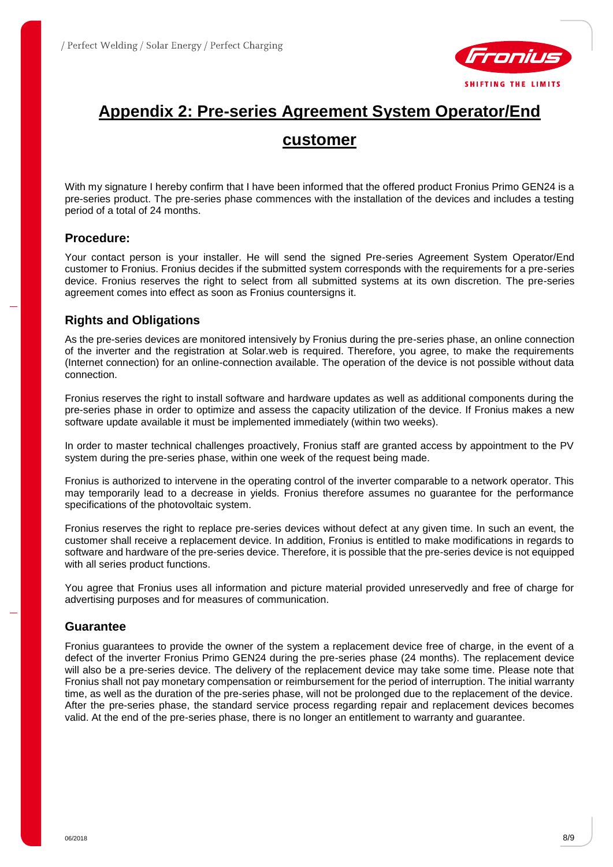

## **Appendix 2: Pre-series Agreement System Operator/End**

### **customer**

With my signature I hereby confirm that I have been informed that the offered product Fronius Primo GEN24 is a pre-series product. The pre-series phase commences with the installation of the devices and includes a testing period of a total of 24 months.

#### **Procedure:**

Your contact person is your installer. He will send the signed Pre-series Agreement System Operator/End customer to Fronius. Fronius decides if the submitted system corresponds with the requirements for a pre-series device. Fronius reserves the right to select from all submitted systems at its own discretion. The pre-series agreement comes into effect as soon as Fronius countersigns it.

#### **Rights and Obligations**

As the pre-series devices are monitored intensively by Fronius during the pre-series phase, an online connection of the inverter and the registration at Solar.web is required. Therefore, you agree, to make the requirements (Internet connection) for an online-connection available. The operation of the device is not possible without data connection.

Fronius reserves the right to install software and hardware updates as well as additional components during the pre-series phase in order to optimize and assess the capacity utilization of the device. If Fronius makes a new software update available it must be implemented immediately (within two weeks).

In order to master technical challenges proactively, Fronius staff are granted access by appointment to the PV system during the pre-series phase, within one week of the request being made.

Fronius is authorized to intervene in the operating control of the inverter comparable to a network operator. This may temporarily lead to a decrease in yields. Fronius therefore assumes no guarantee for the performance specifications of the photovoltaic system.

Fronius reserves the right to replace pre-series devices without defect at any given time. In such an event, the customer shall receive a replacement device. In addition, Fronius is entitled to make modifications in regards to software and hardware of the pre-series device. Therefore, it is possible that the pre-series device is not equipped with all series product functions.

You agree that Fronius uses all information and picture material provided unreservedly and free of charge for advertising purposes and for measures of communication.

#### **Guarantee**

Fronius guarantees to provide the owner of the system a replacement device free of charge, in the event of a defect of the inverter Fronius Primo GEN24 during the pre-series phase (24 months). The replacement device will also be a pre-series device. The delivery of the replacement device may take some time. Please note that Fronius shall not pay monetary compensation or reimbursement for the period of interruption. The initial warranty time, as well as the duration of the pre-series phase, will not be prolonged due to the replacement of the device. After the pre-series phase, the standard service process regarding repair and replacement devices becomes valid. At the end of the pre-series phase, there is no longer an entitlement to warranty and guarantee.